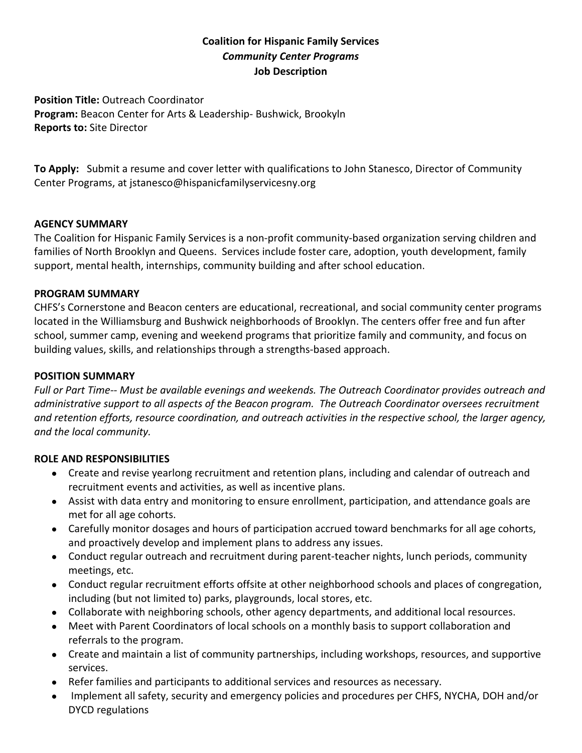# **Coalition for Hispanic Family Services** *Community Center Programs* **Job Description**

**Position Title:** Outreach Coordinator **Program:** Beacon Center for Arts & Leadership- Bushwick, Brookyln **Reports to:** Site Director

**To Apply:** Submit a resume and cover letter with qualifications to John Stanesco, Director of Community Center Programs, at jstanesco@hispanicfamilyservicesny.org

#### **AGENCY SUMMARY**

The Coalition for Hispanic Family Services is a non-profit community-based organization serving children and families of North Brooklyn and Queens. Services include foster care, adoption, youth development, family support, mental health, internships, community building and after school education.

#### **PROGRAM SUMMARY**

CHFS's Cornerstone and Beacon centers are educational, recreational, and social community center programs located in the Williamsburg and Bushwick neighborhoods of Brooklyn. The centers offer free and fun after school, summer camp, evening and weekend programs that prioritize family and community, and focus on building values, skills, and relationships through a strengths-based approach.

### **POSITION SUMMARY**

*Full or Part Time-- Must be available evenings and weekends. The Outreach Coordinator provides outreach and administrative support to all aspects of the Beacon program. The Outreach Coordinator oversees recruitment and retention efforts, resource coordination, and outreach activities in the respective school, the larger agency, and the local community.*

## **ROLE AND RESPONSIBILITIES**

- Create and revise yearlong recruitment and retention plans, including and calendar of outreach and recruitment events and activities, as well as incentive plans.
- Assist with data entry and monitoring to ensure enrollment, participation, and attendance goals are met for all age cohorts.
- Carefully monitor dosages and hours of participation accrued toward benchmarks for all age cohorts, and proactively develop and implement plans to address any issues.
- Conduct regular outreach and recruitment during parent-teacher nights, lunch periods, community meetings, etc.
- Conduct regular recruitment efforts offsite at other neighborhood schools and places of congregation, including (but not limited to) parks, playgrounds, local stores, etc.
- Collaborate with neighboring schools, other agency departments, and additional local resources.
- Meet with Parent Coordinators of local schools on a monthly basis to support collaboration and referrals to the program.
- Create and maintain a list of community partnerships, including workshops, resources, and supportive services.
- Refer families and participants to additional services and resources as necessary.
- Implement all safety, security and emergency policies and procedures per CHFS, NYCHA, DOH and/or DYCD regulations